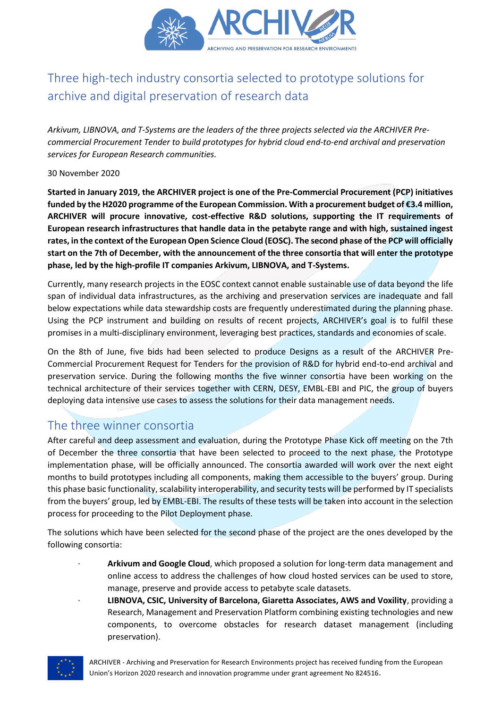

# Three high-tech industry consortia selected to prototype solutions for archive and digital preservation of research data

*Arkivum, LIBNOVA, and T-Systems are the leaders of the three projects selected via the ARCHIVER Precommercial Procurement Tender to build prototypes for hybrid cloud end-to-end archival and preservation services for European Research communities.*

#### 30 November 2020

**Started in January 2019, the ARCHIVER project is one of the Pre-Commercial Procurement (PCP) initiatives funded by the H2020 programme of the European Commission. With a procurement budget of €3.4 million, ARCHIVER will procure innovative, cost-effective R&D solutions, supporting the IT requirements of European research infrastructures that handle data in the petabyte range and with high, sustained ingest rates, in the context of the European Open Science Cloud (EOSC). The second phase of the PCP will officially start on the 7th of December, with the announcement of the three consortia that will enter the prototype phase, led by the high-profile IT companies Arkivum, LIBNOVA, and T-Systems.**

Currently, many research projects in the EOSC context cannot enable sustainable use of data beyond the life span of individual data infrastructures, as the archiving and preservation services are inadequate and fall below expectations while data stewardship costs are frequently underestimated during the planning phase. Using the PCP instrument and building on results of recent projects, ARCHIVER's goal is to fulfil these promises in a multi-disciplinary environment, leveraging best practices, standards and economies of scale.

On the 8th of June, five bids had been selected to produce Designs as a result of the ARCHIVER Pre-Commercial Procurement Request for Tenders for the provision of R&D for hybrid end-to-end archival and preservation service. During the following months the five winner consortia have been working on the technical architecture of their services together with CERN, DESY, EMBL-EBI and PIC, the group of buyers deploying data intensive use cases to assess the solutions for their data management needs.

# The three winner consortia

After careful and deep assessment and evaluation, during the Prototype Phase Kick off meeting on the 7th of December the three consortia that have been selected to proceed to the next phase, the Prototype implementation phase, will be officially announced. The consortia awarded will work over the next eight months to build prototypes including all components, making them accessible to the buyers' group. During this phase basic functionality, scalability interoperability, and security tests will be performed by IT specialists from the buyers' group, led by EMBL-EBI. The results of these tests will be taken into account in the selection process for proceeding to the Pilot Deployment phase.

The solutions which have been selected for the second phase of the project are the ones developed by the following consortia:

- · **Arkivum and Google Cloud**, which proposed a solution for long-term data management and online access to address the challenges of how cloud hosted services can be used to store, manage, preserve and provide access to petabyte scale datasets.
	- · **LIBNOVA, CSIC, University of Barcelona, Giaretta Associates, AWS and Voxility**, providing a Research, Management and Preservation Platform combining existing technologies and new components, to overcome obstacles for research dataset management (including preservation).